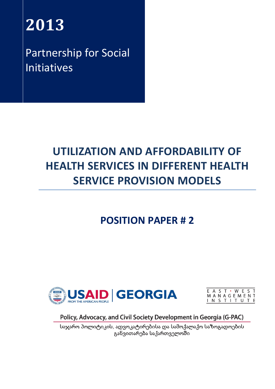# **2013**

Partnership for Social Initiatives

# **UTILIZATION AND AFFORDABILITY OF HEALTH SERVICES IN DIFFERENT HEALTH SERVICE PROVISION MODELS**

# **POSITION PAPER # 2**



E A S T · W E S T<br>M A N A G E M E N T<br>I N S T I T U T E

Policy, Advocacy, and Civil Society Development in Georgia (G-PAC)

საჯარო პოლიტიკის, ადვოკატირებისა და სამოქალაქო საზოგადოების განვითარება საქართველოში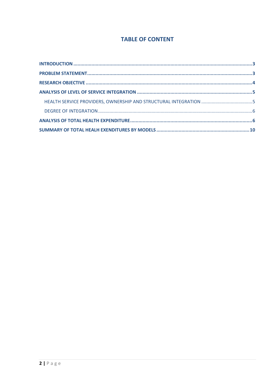# **TABLE OF CONTENT**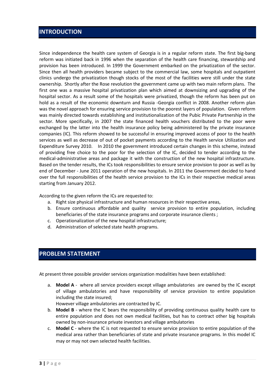#### <span id="page-2-0"></span>**INTRODUCTION**

Since independence the health care system of Georgia is in a regular reform state. The first big-bang reform was initiated back in 1996 when the separation of the health care financing, stewardship and provision has been introduced. In 1999 the Government embarked on the privatization of the sector. Since then all health providers became subject to the commercial law, some hospitals and outpatient clinics undergo the privatization though stocks of the most of the facilities were still under the state ownership. Shortly after the Rose revolution the government came up with two main reform plans. The first one was a massive hospital privatization plan which aimed at downsizing and upgrading of the hospital sector. As a result some of the hospitals were privatized, though the reform has been put on hold as a result of the economic downturn and Russia -Georgia conflict in 2008. Another reform plan was the novel approach for ensuring service provision to the poorest layers of population. Given reform was mainly directed towards establishing and institutionalization of the Pubic Private Partnership in the sector. More specifically, in 2007 the state financed health vouchers distributed to the poor were exchanged by the latter into the health insurance policy being administered by the private insurance companies (IC). This reform showed to be successful in ensuring improved access of poor to the health services as well as decrease of out of pocket payments according to the Health service Utilization and Expenditure Survey 2010. In 2010 the government introduced certain changes in this scheme, instead of providing free choice to the poor for the selection of the IC, decided to tender according to the medical-administrative areas and package it with the construction of the new hospital infrastructure. Based on the tender results, the ICs took responsibilities to ensure service provision to poor as well as by end of December - June 2011 operation of the new hospitals. In 2011 the Government decided to hand over the full responsibilities of the health service provision to the ICs in their respective medical areas starting from January 2012.

According to the given reform the ICs are requested to:

- a. Right size physical infrastructure and human resources in their respective areas,
- b. Ensure continuous affordable and quality service provision to entire population, including beneficiaries of the state insurance programs and corporate insurance clients ;
- c. Operationalization of the new hospital infrastructure;
- d. Administration of selected state health programs.

# <span id="page-2-1"></span>**PROBLEM STATEMENT**

At present three possible provider services organization modalities have been established:

a. **Model A** - where all service providers except village ambulatories are owned by the IC except of village ambulatories and have responsibility of service provision to entire population including the state insured;

However village ambulatories are contracted by IC.

- b. **Model B** where the IC bears the responsibility of providing continuous quality health care to entire population and does not own medical facilities, but has to contract other big hospitals owned by non-insurance private investors and village ambulatories
- c. **Model C** where the IC is not requested to ensure service provision to entire population of the medical area rather than beneficiaries of state and private insurance programs. In this model IC may or may not own selected health facilities.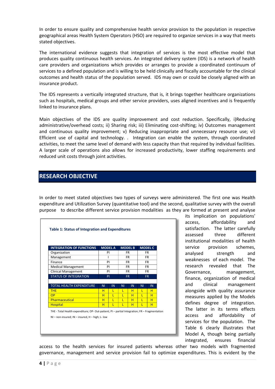In order to ensure quality and comprehensive health service provision to the population in respective geographical areas Health System Operators (HSO) are required to organize services in a way that meets stated objectives.

The international evidence suggests that integration of services is the most effective model that produces quality continuous health services. An integrated delivery system (IDS) is a network of health care providers and organizations which provides or arranges to provide a coordinated continuum of services to a defined population and is willing to be held clinically and fiscally accountable for the clinical outcomes and health status of the population served. IDS may own or could be closely aligned with an insurance product.

The IDS represents a vertically integrated structure, that is, it brings together healthcare organizations such as hospitals, medical groups and other service providers, uses aligned incentives and is frequently linked to insurance plans.

Main objectives of the IDS are quality improvement and cost reduction. Specifically, i)Reducing administrative/overhead costs; ii) Sharing risk; iii) Eliminating cost-shifting; iv) Outcomes management and continuous quality improvement; v) Reducing inappropriate and unnecessary resource use; vi) Efficient use of capital and technology. . Integration can enable the system, through coordinated activities, to meet the same level of demand with less capacity than that required by individual facilities. A larger scale of operations also allows for increased productivity, lower staffing requirements and reduced unit costs through joint activities.

### <span id="page-3-0"></span>**RESEARCH OBJECTIVE**

In order to meet stated objectives two types of surveys were administered. The first one was Health expenditure and Utilization Survey (quantitative tool) and the second, qualitative survey with the overall purpose to describe different service provision modalities as they are formed at present and analyse

| <b>INTEGRATION OF FUNCTIONS</b> |                | <b>MODEL A</b> |                | <b>MODEL B</b> |                | <b>MODEL C</b> |     |     |
|---------------------------------|----------------|----------------|----------------|----------------|----------------|----------------|-----|-----|
| Organization                    |                | PI             |                | FR.            |                | FR.            |     |     |
| Management                      | ı              |                | <b>FR</b>      |                |                | <b>FR</b>      |     |     |
| Finance                         | PI             |                | FR.            |                |                |                |     | FR. |
| <b>Medical Management</b>       | PI             |                | FR.            |                |                |                | FR. |     |
| <b>Clinical Management</b>      | PI             |                | <b>FR</b>      |                | <b>FR</b>      |                |     |     |
| <b>STATUS OF INTEGRATION</b>    | PI             |                |                | <b>FR</b>      | <b>FR</b>      |                |     |     |
|                                 |                |                |                |                |                |                |     |     |
| TOTAL HEALTH EXPENDITURE        | N <sub>1</sub> | IN             | N <sub>1</sub> | IN             | N <sub>1</sub> | IN             |     |     |
| <b>THE</b>                      | н              | L              | L              | н              | т              | н              |     |     |
| OP                              | н              | L              | L              | н              | L              | н              |     |     |
| Pharmaceutical                  | H              | L              | L              | H              | L              | н              |     |     |
| <b>Hospital</b>                 | н              | г              | п              | н              | г              | н              |     |     |

its implication on populations' access, affordability and satisfaction. The latter carefully assessed three different institutional modalities of health service provision schemes. analysed strength and weaknesses of each model. The research revealed that The Governance, management, finance, organization of medical and clinical management alongside with quality assurance measures applied by the Models defines degree of integration. The latter in its terms effects access and affordability of services for the population. The Table 6 clearly illustrates that Model A, though being partially integrated, ensures financial

access to the health services for insured patients whereas other two models with fragmented governance, management and service provision fail to optimize expenditures. This is evident by the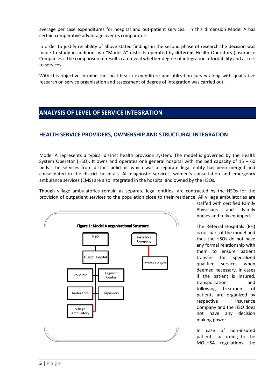average per case expenditures for hospital and out-patient services. In this dimension Model A has certain comparative advantage over its comparators.

In order to justify reliability of above stated findings in the second phase of research the decision was made to study in addition two "Model A" districts operated by **different** Health Operators (Insurance Companies). The comparison of results can reveal whether degree of integration affordability and access to services.

With this objective in mind the local health expenditure and utilization survey along with qualitative research on service organization and assessment of degree of integration was carried out.

# <span id="page-4-0"></span>**ANALYSIS OF LEVEL OF SERVICE INTEGRATION**

#### <span id="page-4-1"></span>**HEALTH SERVICE PROVIDERS, OWNERSHIP AND STRUCTURAL INTEGRATION**

Model A represents a typical district health provision system. The model is governed by the Health System Operator (HSO). It owns and operates one general hospital with the bed capacity of  $15 - 60$ beds. The services from district policlinic which was a separate legal entity has been merged and consolidated in the district hospitals. All diagnostic services, women's consultation and emergency ambulance services (EMS) are also integrated in the hospital and owned by the HSOs.

Though village ambulatories remain as separate legal entities, are contracted by the HSOs for the provision of outpatient services to the population close to their residence. All village ambulatories are



staffed with certified Family Physicians and Family nurses and fully equipped.

The Referral Hospitals (RH) is not part of the model and thus the HSOs do not have any formal relationship with them to ensure patient transfer for specialized qualified services when deemed necessary. In cases if the patient is insured, transportation and following treatment of patients are organized by respective Insurance Company and the HSO does not have any decision making power.

In case of non-insured patients, according to the MOLHSA regulations the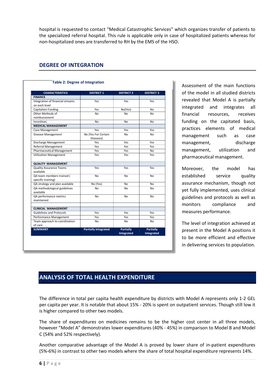hospital is requested to contact "Medical Catastrophic Services" which organizes transfer of patients to the specialized referral hospital. This rule is applicable only in case of hospitalized patients whereas for non-hospitalized ones are transferred to RH by the EMS of the HSO.

#### <span id="page-5-0"></span>**DEGREE OF INTEGRATION**

| <b>CHARACTERISTICS</b>                      | <b>DISTRICT 1</b>                | <b>DISTRICT 2</b> | <b>DISTRICT 3</b> |
|---------------------------------------------|----------------------------------|-------------------|-------------------|
| <b>FINANCE</b>                              |                                  |                   |                   |
| Integration of financial streams            | Yes                              | Yes               | Yes               |
| on each level                               |                                  |                   |                   |
| <b>Capitation Funding</b>                   | Yes                              | No(Yes)           | No                |
| Other Methods of                            | <b>No</b>                        | No                | No                |
| reimbursement                               |                                  |                   |                   |
| Incentives                                  | <b>No</b>                        | No                | No                |
| <b>MEDICAL MANAGEMENT</b>                   |                                  |                   |                   |
| Case Management                             | Yes                              | Yes               | Yes               |
| Disease Management                          | No (Yes For Certain<br>Diseases) | N <sub>0</sub>    | N <sub>0</sub>    |
| Discharge Management                        | Yes                              | Yes               | Yes               |
| Referral Management                         | Yes                              | Yes               | Yes               |
| <b>Pharmaceutical Management</b>            | Yes                              | Yes               | N <sub>0</sub>    |
| <b>Utilization Management</b>               | Yes                              | Yes               | Yes               |
| <b>QUALITY MANAGEMENT</b>                   |                                  |                   |                   |
| <b>Quality Assurance Teams</b><br>available | Yes                              | Yes               | Yes               |
| QA team members trained (                   | <b>No</b>                        | No                | No                |
| specific training)                          |                                  |                   |                   |
| QA strategy and plan available              | No (Yes)                         | No                | No                |
| QA methodological guidelines<br>available   | N <sub>0</sub>                   | N <sub>0</sub>    | N <sub>0</sub>    |
| QA performance metrics<br>maintained        | <b>No</b>                        | No                | No                |
| <b>CLINICAL MANAGEMENT</b>                  |                                  |                   |                   |
| <b>Guidelines and Protocols</b>             | Yes                              | Yes               | Yes               |
| Performance Management                      | Yes                              | Yes               | Yes               |
| Team approach to coordination               | <b>No</b>                        | No                | No                |
| of care                                     |                                  |                   |                   |
| <b>SUMMARY</b>                              | <b>Partially Integrated</b>      | <b>Partially</b>  | <b>Partially</b>  |
|                                             |                                  | Integrated        | Integrated        |

#### **Table 2: Degree of Integration**

Assessment of the main functions of the model in all studied districts revealed that Model A is partially integrated and integrates all financial resources, receives funding on the capitated basis, practices elements of medical management such as case management, discharge management, utilization and pharmaceutical management.

Moreover, the model has established service quality assurance mechanism, though not yet fully implemented, uses clinical guidelines and protocols as well as monitors compliance and measures performance.

The level of integration achieved at present in the Model A positions it to be more efficient and effective in delivering services to population.

## <span id="page-5-1"></span>**ANALYSIS OF TOTAL HEALTH EXPENDITURE**

The difference in total per capita health expenditure by districts with Model A represents only 1-2 GEL per capita per year. It is notable that about 15% - 20% is spent on outpatient services. Though still low it is higher compared to other two models.

The share of expenditures on medicines remains to be the higher cost center in all three models, however "Model A" demonstrates lower expenditures (40% - 45%) in comparison to Model B and Model C (54% and 52% respectively).

Another comparative advantage of the Model A is proved by lower share of in-patient expenditures (5%-6%) in contrast to other two models where the share of total hospital expenditure represents 14%.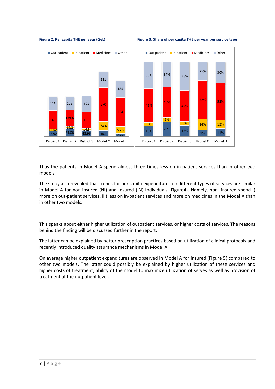





Thus the patients in Model A spend almost three times less on in-patient services than in other two models.

The study also revealed that trends for per capita expenditures on different types of services are similar in Model A for non-insured (NI) and Insured (IN) Individuals (Figure4). Namely, non- insured spend i) more on out-patient services, iii) less on in-patient services and more on medicines in the Model A than in other two models.

This speaks about either higher utilization of outpatient services, or higher costs of services. The reasons behind the finding will be discussed further in the report.

The latter can be explained by better prescription practices based on utilization of clinical protocols and recently introduced quality assurance mechanisms in Model A.

On average higher outpatient expenditures are observed in Model A for insured (Figure 5) compared to other two models. The latter could possibly be explained by higher utilization of these services and higher costs of treatment, ability of the model to maximize utilization of serves as well as provision of treatment at the outpatient level.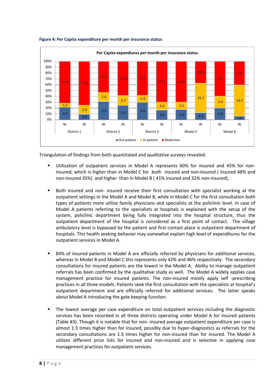

#### **Figure 4: Per Capita expenditure per month per insurance status**

Triangulation of findings from both quantitated and qualitative surveys revealed:

- Utilization of outpatient services in Model A represents 60% for insured and 45% for noninsured, which is higher than in Model C for both insured and non-insured ( Insured 48% and non-insured 35%) and higher than in Model B ( 41% insured and 32% non-insured).
- Both insured and non- insured receive their first consultation with specialist working at the outpatient settings in the Model A and Model B, while in Model C for the first consultation both types of patients more utilize family physicians and specialists at the policlinic level. In case of Model A patients referring to the specialists at hospitals is explained with the setup of the system, policlinic department being fully integrated into the hospital structure, thus the outpatient department of the hospital is considered as a first point of contact. The village ambulatory level is bypassed by the patient and first contact place is outpatient department of hospitals. This health seeking behavior may somewhat explain high level of expenditures for the outpatient services in Model A.
- 84% of insured patients in Model A are officially referred by physicians for additional services, whereas in Model B and Model C this represents only 42% and 46% respectively. The secondary consultations for insured patients are the lowest in the Model A. Ability to manage outpatient referrals has been confirmed by the qualitative study as well. The Model A widely applies case management practice for insured patients. The non-insured mostly apply self -prescribing practices in all three models. Patients seek the first consultation with the specialists at hospital's outpatient department and are officially referred for additional services. The latter speaks about Model A introducing the gate keeping function.
- The lowest average per case expenditure on total outpatient services including the diagnostic services has been recorded in all three districts operating under Model A for insured patients (Table #3). Though it is notable that for non- insured average outpatient expenditure per case is almost 1.3 times higher than for insured, possibly due to hyper-diagnostics as referrals for the secondary consultations are 1.5 times higher for non-insured than for insured. The Model A utilizes different price lists for insured and non-insured and is selective in applying case management practices for outpatient services.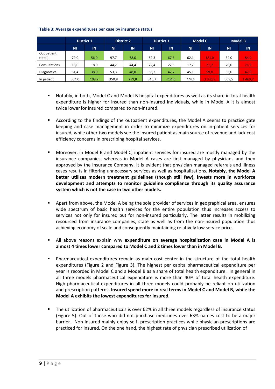#### **Table 3: Average expenditures per case by insurance status**

|                        | <b>District 1</b> |       |           | <b>District 2</b><br><b>District 3</b> |           | <b>Model C</b> |       | <b>Model B</b> |           |        |
|------------------------|-------------------|-------|-----------|----------------------------------------|-----------|----------------|-------|----------------|-----------|--------|
|                        | <b>NI</b>         | IN    | <b>NI</b> | IN                                     | <b>NI</b> | IN             | ΝI    | IN             | <b>NI</b> | IN     |
| Out patient<br>(total) | 79,0              | 56,0  | 97,7      | 78,0                                   | 82,3      | 67,5           | 62,1  | 121,0          | 54,0      | 84,0   |
| Consultations          | 18,0              | 18,0  | 44,2      | 44.4                                   | 22,4      | 22,5           | 17,2  | 21.7           | 20,0      | 26,3   |
| <b>Diagnostics</b>     | 61,4              | 38,0  | 53,3      | 48,0                                   | 66,2      | 42,7           | 45,1  | 99,8           | 35,0      | 47,0   |
| In patient             | 334,0             | 109,2 | 350,8     | 289,8                                  | 346.7     | 234,6          | 774.4 | 3 0 5 0 . 5    | 509.5     | 1469,2 |

- Notably, in both, Model C and Model B hospital expenditures as well as its share in total health expenditure is higher for insured than non-insured individuals, while in Model A it is almost twice lower for insured compared to non-insured.
- According to the findings of the outpatient expenditures, the Model A seems to practice gate keeping and case management in order to minimize expenditures on in-patient services for insured, while other two models see the insured patient as main source of revenue and lack cost efficiency concerns in prescribing hospital services.
- Moreover, in Model B and Model C, inpatient services for insured are mostly managed by the insurance companies, whereas in Model A cases are first managed by physicians and then approved by the Insurance Company. It is evident that physician managed referrals and illness cases results in filtering unnecessary services as well as hospitalizations**. Notably, the Model A better utilizes modern treatment guidelines (though still few), invests more in workforce development and attempts to monitor guideline compliance through its quality assurance system which is not the case in two other models.**
- Apart from above, the Model A being the sole provider of services in geographical area, ensures wide spectrum of basic health services for the entire population thus increases access to services not only for insured but for non-insured particularly. The latter results in mobilizing resourced from insurance companies, state as well as from the non-insured population thus achieving economy of scale and consequently maintaining relatively low service price.
- All above reasons explain why **expenditure on average hospitalization case in Model A is almost 4 times lower compared to Model C and 2 times lower than in Model B.**
- Pharmaceutical expenditures remain as main cost center in the structure of the total health expenditures (Figure 2 and Figure 3). The highest per capita pharmaceutical expenditure per year is recorded in Model C and a Model B as a share of total health expenditure. In general in all three models pharmaceutical expenditure is more than 40% of total health expenditure. High pharmaceutical expenditures in all three models could probably be reliant on utilization and prescription patterns**. Insured spend more in real terms in Model C and Model B, while the Model A exhibits the lowest expenditures for insured.**
- The utilization of pharmaceuticals is over 62% in all three models regardless of insurance status (Figure 5). Out of those who did not purchase medicines over 63% names cost to be a major barrier. Non-Insured mainly enjoy self- prescription practices while physician prescriptions are practiced for insured. On the one hand, the highest rate of physician prescribed utilization of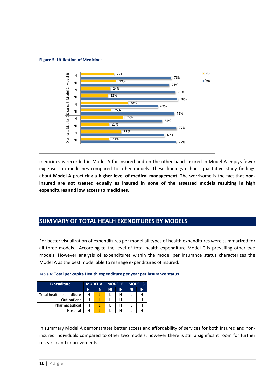#### **Figure 5: Utilization of Medicines**



medicines is recorded in Model A for insured and on the other hand insured in Model A enjoys fewer expenses on medicines compared to other models. These findings echoes qualitative study findings about **Model A** practicing a **higher level of medical management**. The worrisome is the fact that **noninsured are not treated equally as insured in none of the assessed models resulting in high expenditures and low access to medicines.**

# <span id="page-9-0"></span>**SUMMARY OF TOTAL HEALH EXENDITURES BY MODELS**

For better visualization of expenditures per model all types of health expenditures were summarized for all three models. According to the level of total health expenditure Model C is prevailing other two models. However analysis of expenditures within the model per insurance status characterizes the Model A as the best model able to manage expenditures of insured.

| <b>Expenditure</b>       | <b>MODEL A</b> |    |    | <b>MODEL B</b> | <b>MODEL C</b> |    |  |
|--------------------------|----------------|----|----|----------------|----------------|----|--|
|                          | ΝI             | IN | ΝI | IN             | ΝI             | IN |  |
| Total health expenditure | н              |    |    | н              |                | н  |  |
| Out-patient              | н              |    |    | н              |                | н  |  |
| Pharmaceutical           | н              |    |    | н              |                | н  |  |
| Hospital                 | н              |    |    | н              |                | Н  |  |

| Table 4: Total per capita Health expenditure per year per insurance status |  |  |
|----------------------------------------------------------------------------|--|--|
|----------------------------------------------------------------------------|--|--|

In summary Model A demonstrates better access and affordability of services for both insured and noninsured individuals compared to other two models, however there is still a significant room for further research and improvements.